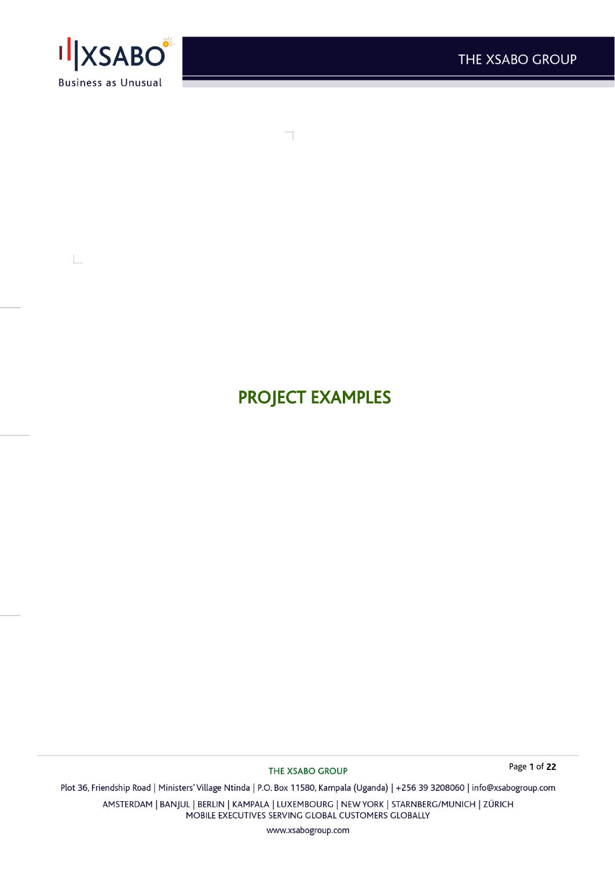

 $\mathbb{R}$ 

PROJECT EXAMPLES

THE XSABO GROUP

Page 1 of 22

Plot 36, Friendship Road | Ministers' Village Ntinda | P.O. Box 11580, Kampala (Uganda) | +256 39 3208060 | info@xsabogroup.com

AMSTERDAM | BANJUL | BERLIN | KAMPALA | LUXEMBOURG | NEW YORK | STARNBERG/MUNICH | ZÜRICH MOBILE EXECUTIVES SERVING GLOBAL CUSTOMERS GLOBALLY

www.xsabogroup.com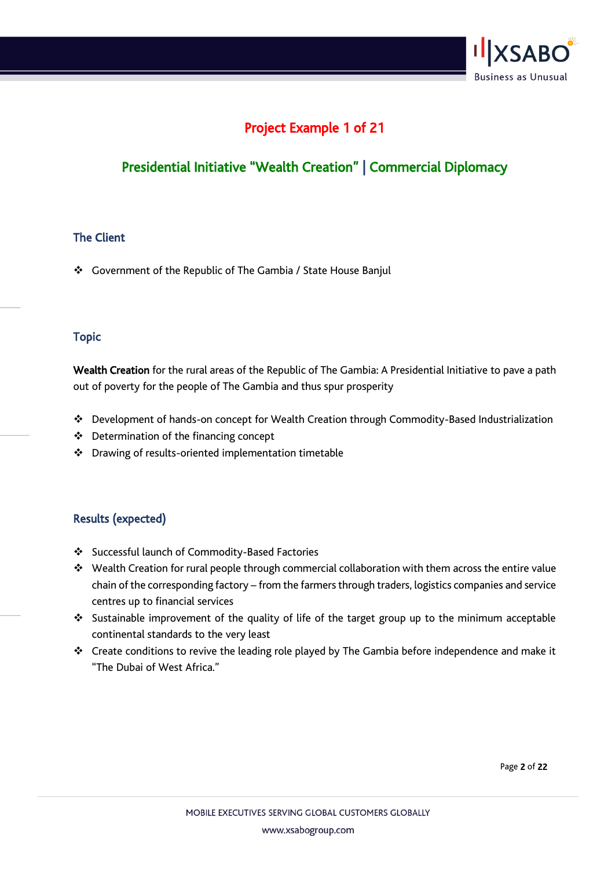

# Project Example 1 of 21

# Presidential Initiative "Wealth Creation" | Commercial Diplomacy

### The Client

❖ Government of the Republic of The Gambia / State House Banjul

### Topic

Wealth Creation for the rural areas of the Republic of The Gambia: A Presidential Initiative to pave a path out of poverty for the people of The Gambia and thus spur prosperity

- ❖ Development of hands-on concept for Wealth Creation through Commodity-Based Industrialization
- ❖ Determination of the financing concept
- ❖ Drawing of results-oriented implementation timetable

## Results (expected)

- ❖ Successful launch of Commodity-Based Factories
- ❖ Wealth Creation for rural people through commercial collaboration with them across the entire value chain of the corresponding factory – from the farmers through traders, logistics companies and service centres up to financial services
- ❖ Sustainable improvement of the quality of life of the target group up to the minimum acceptable continental standards to the very least
- ❖ Create conditions to revive the leading role played by The Gambia before independence and make it "The Dubai of West Africa."

Page 2 of 22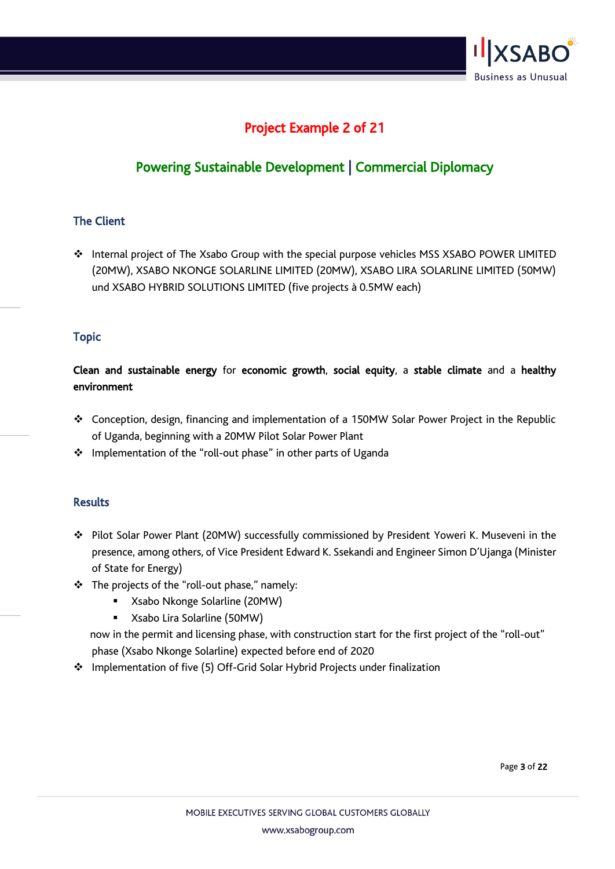

# Project Example 2 of 21

# Powering Sustainable Development | Commercial Diplomacy

### The Client

❖ Internal project of The Xsabo Group with the special purpose vehicles MSS XSABO POWER LIMITED (20MW), XSABO NKONGE SOLARLINE LIMITED (20MW), XSABO LIRA SOLARLINE LIMITED (50MW) und XSABO HYBRID SOLUTIONS LIMITED (five projects à 0.5MW each)

### Topic

Clean and sustainable energy for economic growth, social equity, a stable climate and a healthy environment

- ❖ Conception, design, financing and implementation of a 150MW Solar Power Project in the Republic of Uganda, beginning with a 20MW Pilot Solar Power Plant
- ❖ Implementation of the "roll-out phase" in other parts of Uganda

### Results

- ❖ Pilot Solar Power Plant (20MW) successfully commissioned by President Yoweri K. Museveni in the presence, among others, of Vice President Edward K. Ssekandi and Engineer Simon D'Ujanga (Minister of State for Energy)
- ❖ The projects of the "roll-out phase," namely:
	- Xsabo Nkonge Solarline (20MW)
	- Xsabo Lira Solarline (50MW)

 now in the permit and licensing phase, with construction start for the first project of the "roll-out" phase (Xsabo Nkonge Solarline) expected before end of 2020

❖ Implementation of five (5) Off-Grid Solar Hybrid Projects under finalization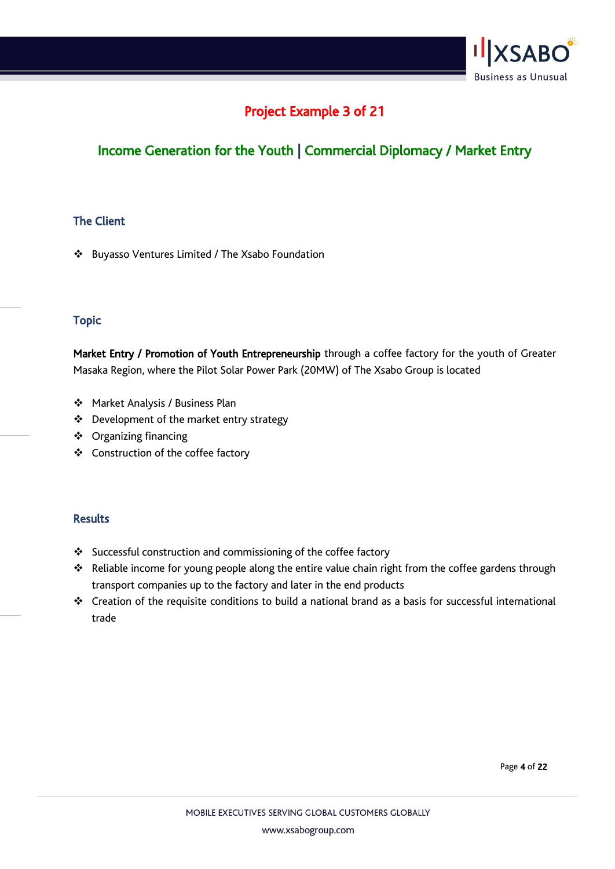

## Project Example 3 of 21

# Income Generation for the Youth | Commercial Diplomacy / Market Entry

## The Client

❖ Buyasso Ventures Limited / The Xsabo Foundation

### Topic

Market Entry / Promotion of Youth Entrepreneurship through a coffee factory for the youth of Greater Masaka Region, where the Pilot Solar Power Park (20MW) of The Xsabo Group is located

- ❖ Market Analysis / Business Plan
- ❖ Development of the market entry strategy
- ❖ Organizing financing
- ❖ Construction of the coffee factory

- ❖ Successful construction and commissioning of the coffee factory
- ❖ Reliable income for young people along the entire value chain right from the coffee gardens through transport companies up to the factory and later in the end products
- ❖ Creation of the requisite conditions to build a national brand as a basis for successful international trade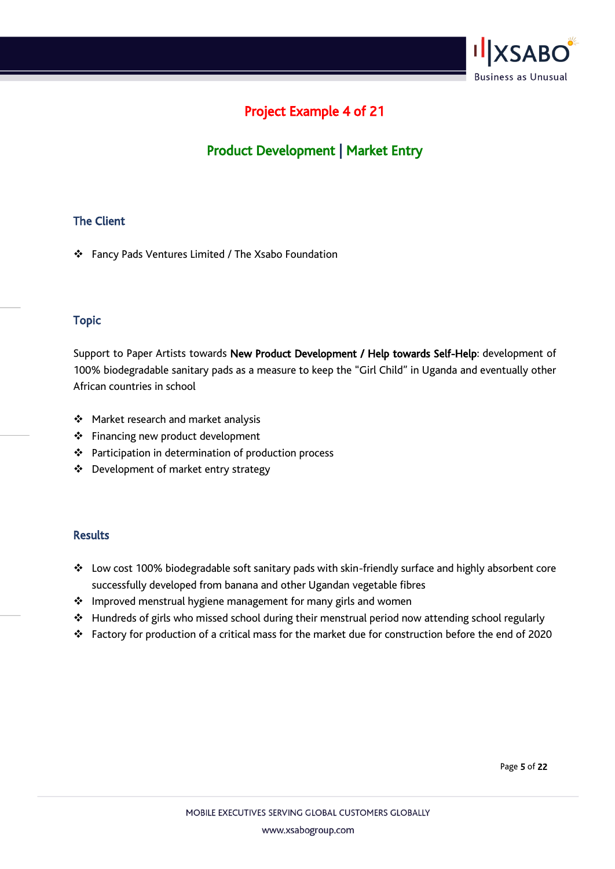

# Project Example 4 of 21

# Product Development | Market Entry

## The Client

❖ Fancy Pads Ventures Limited / The Xsabo Foundation

### Topic

Support to Paper Artists towards New Product Development / Help towards Self-Help: development of 100% biodegradable sanitary pads as a measure to keep the "Girl Child" in Uganda and eventually other African countries in school

- ❖ Market research and market analysis
- ❖ Financing new product development
- ❖ Participation in determination of production process
- ❖ Development of market entry strategy

- ❖ Low cost 100% biodegradable soft sanitary pads with skin-friendly surface and highly absorbent core successfully developed from banana and other Ugandan vegetable fibres
- ❖ Improved menstrual hygiene management for many girls and women
- ❖ Hundreds of girls who missed school during their menstrual period now attending school regularly
- ❖ Factory for production of a critical mass for the market due for construction before the end of 2020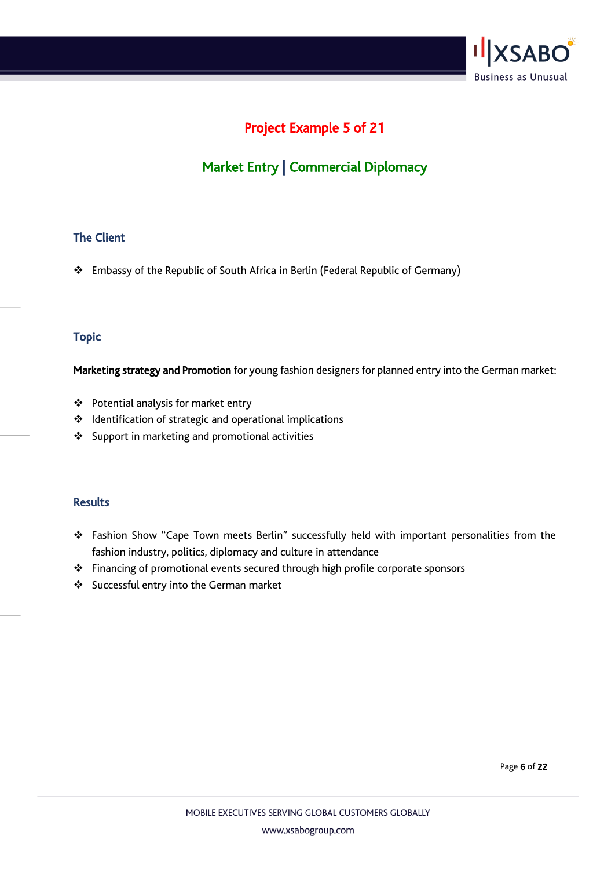

# Project Example 5 of 21

# Market Entry | Commercial Diplomacy

### The Client

❖ Embassy of the Republic of South Africa in Berlin (Federal Republic of Germany)

#### Topic

Marketing strategy and Promotion for young fashion designers for planned entry into the German market:

- ❖ Potential analysis for market entry
- ❖ Identification of strategic and operational implications
- ❖ Support in marketing and promotional activities

#### Results

- ❖ Fashion Show "Cape Town meets Berlin" successfully held with important personalities from the fashion industry, politics, diplomacy and culture in attendance
- ❖ Financing of promotional events secured through high profile corporate sponsors
- ❖ Successful entry into the German market

Page 6 of 22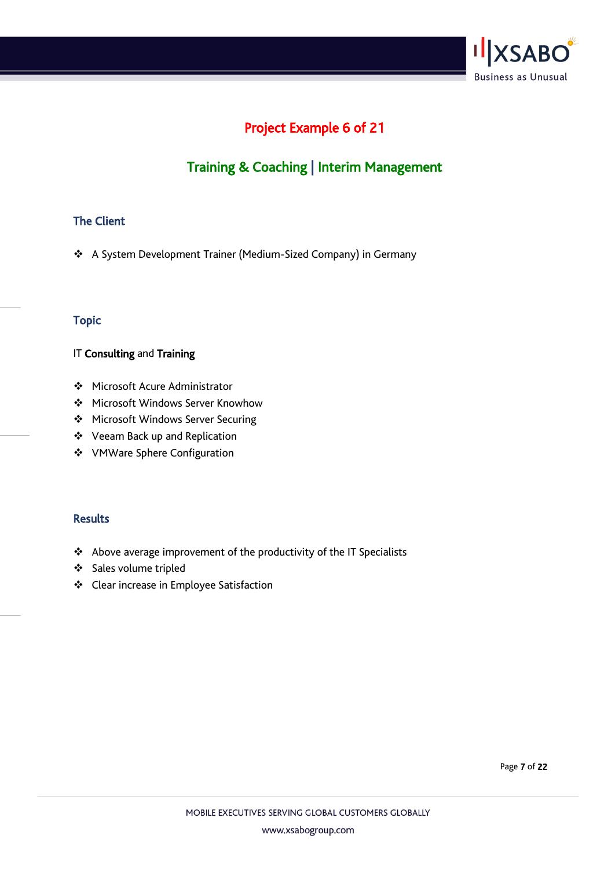

# Project Example 6 of 21

# Training & Coaching | Interim Management

## The Client

❖ A System Development Trainer (Medium-Sized Company) in Germany

### Topic

#### IT Consulting and Training

- ❖ Microsoft Acure Administrator
- ❖ Microsoft Windows Server Knowhow
- ❖ Microsoft Windows Server Securing
- ❖ Veeam Back up and Replication
- ❖ VMWare Sphere Configuration

#### **Results**

- ❖ Above average improvement of the productivity of the IT Specialists
- ❖ Sales volume tripled
- ❖ Clear increase in Employee Satisfaction

Page 7 of 22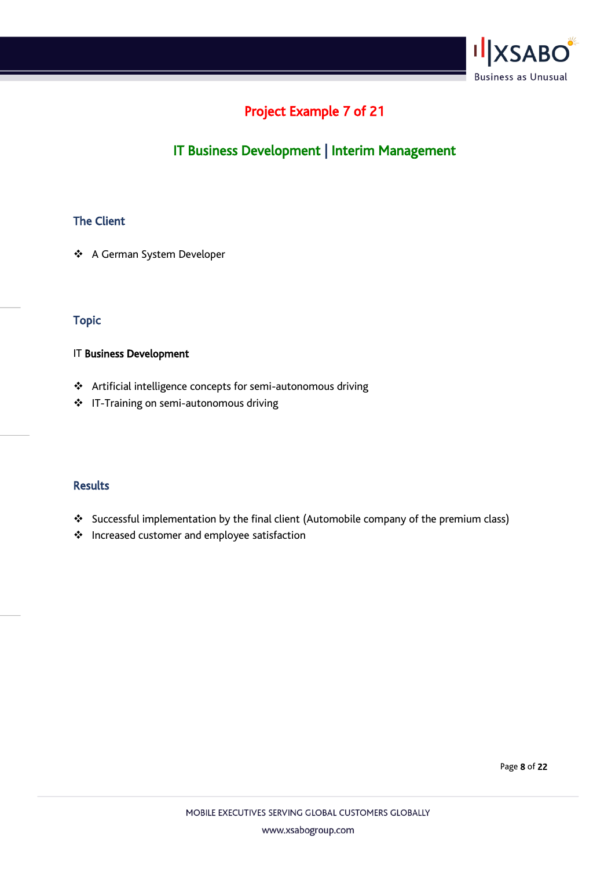

# Project Example 7 of 21

# IT Business Development | Interim Management

## The Client

❖ A German System Developer

### Topic

#### IT Business Development

- ❖ Artificial intelligence concepts for semi-autonomous driving
- ❖ IT-Training on semi-autonomous driving

### Results

- ❖ Successful implementation by the final client (Automobile company of the premium class)
- ❖ Increased customer and employee satisfaction

Page 8 of 22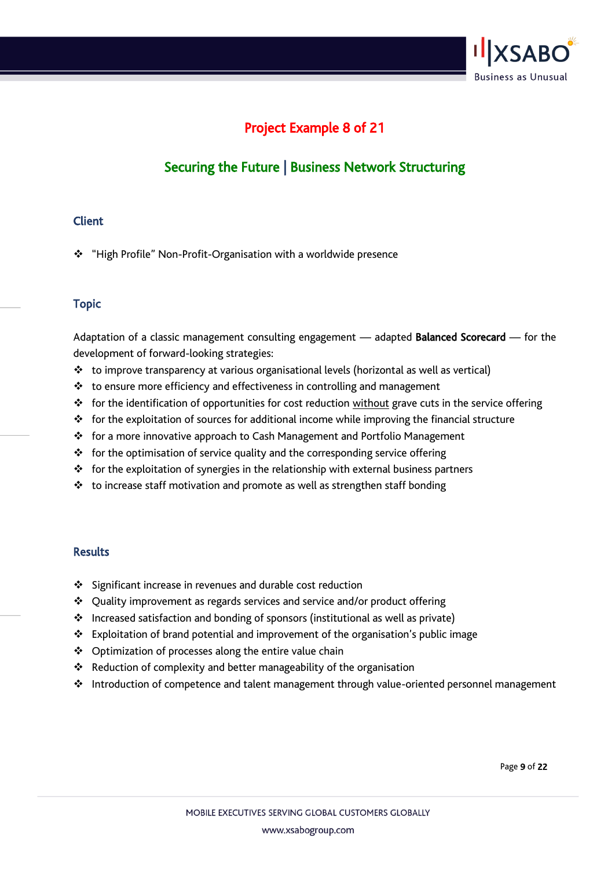

# Project Example 8 of 21

# Securing the Future | Business Network Structuring

#### **Client**

❖ "High Profile" Non-Profit-Organisation with a worldwide presence

### Topic

Adaptation of a classic management consulting engagement — adapted Balanced Scorecard — for the development of forward-looking strategies:

- ❖ to improve transparency at various organisational levels (horizontal as well as vertical)
- ❖ to ensure more efficiency and effectiveness in controlling and management
- ❖ for the identification of opportunities for cost reduction without grave cuts in the service offering
- ❖ for the exploitation of sources for additional income while improving the financial structure
- ❖ for a more innovative approach to Cash Management and Portfolio Management
- ❖ for the optimisation of service quality and the corresponding service offering
- ❖ for the exploitation of synergies in the relationship with external business partners
- ❖ to increase staff motivation and promote as well as strengthen staff bonding

- ❖ Significant increase in revenues and durable cost reduction
- ❖ Quality improvement as regards services and service and/or product offering
- ❖ Increased satisfaction and bonding of sponsors (institutional as well as private)
- ❖ Exploitation of brand potential and improvement of the organisation's public image
- ❖ Optimization of processes along the entire value chain
- ❖ Reduction of complexity and better manageability of the organisation
- ❖ Introduction of competence and talent management through value-oriented personnel management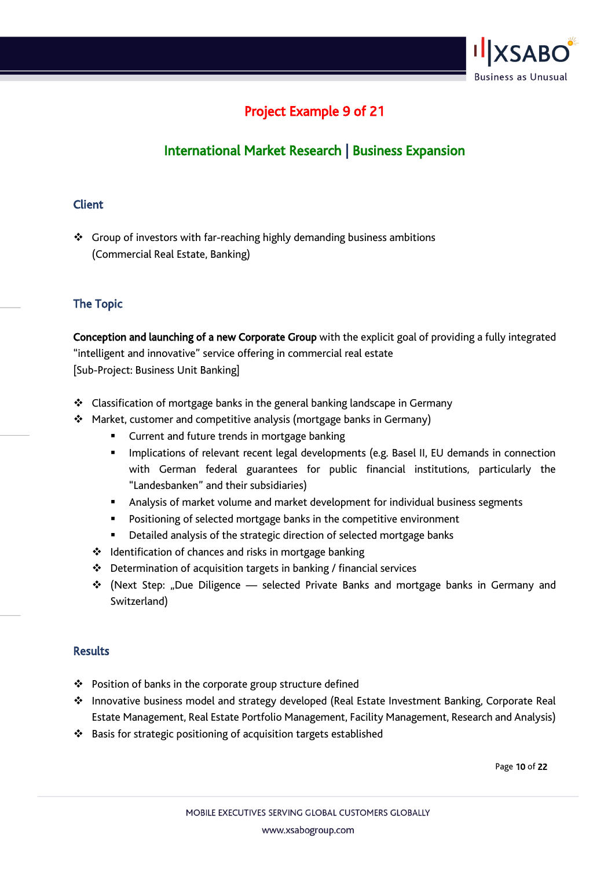

# Project Example 9 of 21

# International Market Research | Business Expansion

### **Client**

❖ Group of investors with far-reaching highly demanding business ambitions (Commercial Real Estate, Banking)

## The Topic

Conception and launching of a new Corporate Group with the explicit goal of providing a fully integrated "intelligent and innovative" service offering in commercial real estate [Sub-Project: Business Unit Banking]

- ❖ Classification of mortgage banks in the general banking landscape in Germany
- ❖ Market, customer and competitive analysis (mortgage banks in Germany)
	- Current and future trends in mortgage banking
	- **■** Implications of relevant recent legal developments (e.g. Basel II, EU demands in connection with German federal guarantees for public financial institutions, particularly the "Landesbanken" and their subsidiaries)
	- **■** Analysis of market volume and market development for individual business segments
	- Positioning of selected mortgage banks in the competitive environment
	- Detailed analysis of the strategic direction of selected mortgage banks
	- ❖ Identification of chances and risks in mortgage banking
	- ❖ Determination of acquisition targets in banking / financial services
	- ❖ (Next Step: "Due Diligence selected Private Banks and mortgage banks in Germany and Switzerland)

#### Results

- ❖ Position of banks in the corporate group structure defined
- ❖ Innovative business model and strategy developed (Real Estate Investment Banking, Corporate Real Estate Management, Real Estate Portfolio Management, Facility Management, Research and Analysis)
- ❖ Basis for strategic positioning of acquisition targets established

Page 10 of 22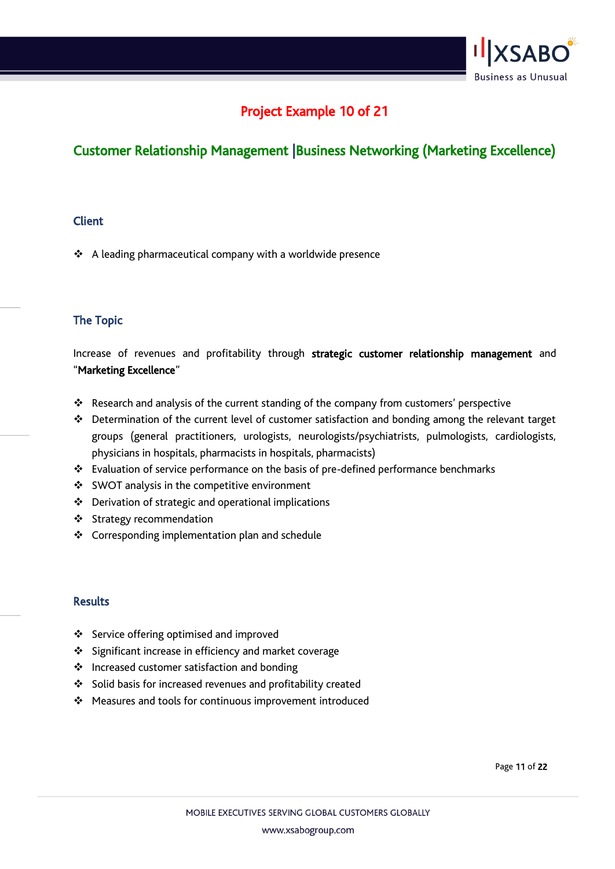

# Project Example 10 of 21

## Customer Relationship Management |Business Networking (Marketing Excellence)

#### **Client**

❖ A leading pharmaceutical company with a worldwide presence

### The Topic

Increase of revenues and profitability through strategic customer relationship management and "Marketing Excellence"

- ❖ Research and analysis of the current standing of the company from customers' perspective
- ❖ Determination of the current level of customer satisfaction and bonding among the relevant target groups (general practitioners, urologists, neurologists/psychiatrists, pulmologists, cardiologists, physicians in hospitals, pharmacists in hospitals, pharmacists)
- ❖ Evaluation of service performance on the basis of pre-defined performance benchmarks
- ❖ SWOT analysis in the competitive environment
- ❖ Derivation of strategic and operational implications
- ❖ Strategy recommendation
- ❖ Corresponding implementation plan and schedule

#### **Results**

- ❖ Service offering optimised and improved
- ❖ Significant increase in efficiency and market coverage
- ❖ Increased customer satisfaction and bonding
- ❖ Solid basis for increased revenues and profitability created
- ❖ Measures and tools for continuous improvement introduced

Page 11 of 22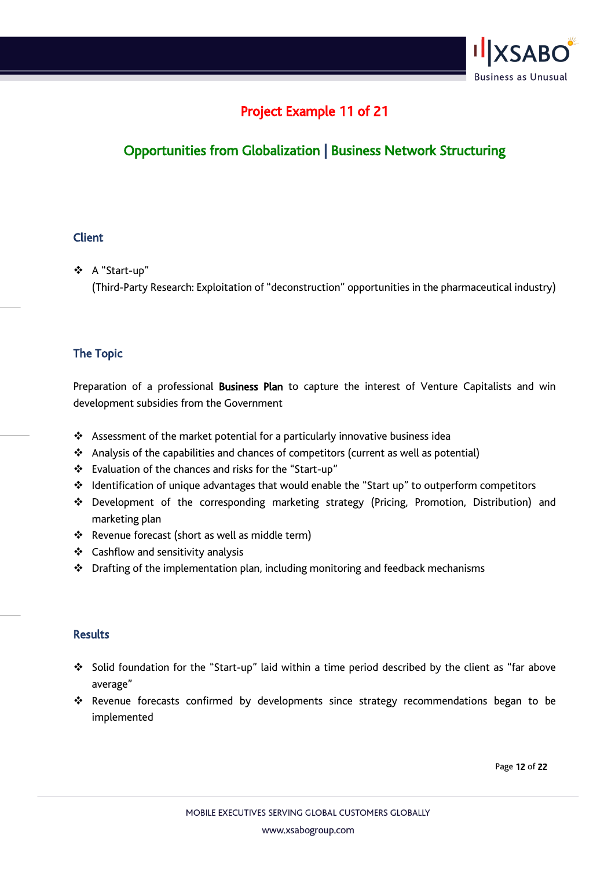

# Project Example 11 of 21

# Opportunities from Globalization | Business Network Structuring

#### **Client**

❖ A "Start-up"

(Third-Party Research: Exploitation of "deconstruction" opportunities in the pharmaceutical industry)

## The Topic

Preparation of a professional Business Plan to capture the interest of Venture Capitalists and win development subsidies from the Government

- ❖ Assessment of the market potential for a particularly innovative business idea
- ❖ Analysis of the capabilities and chances of competitors (current as well as potential)
- ❖ Evaluation of the chances and risks for the "Start-up"
- ❖ Identification of unique advantages that would enable the "Start up" to outperform competitors
- ❖ Development of the corresponding marketing strategy (Pricing, Promotion, Distribution) and marketing plan
- ❖ Revenue forecast (short as well as middle term)
- ❖ Cashflow and sensitivity analysis
- ❖ Drafting of the implementation plan, including monitoring and feedback mechanisms

### **Results**

- ❖ Solid foundation for the "Start-up" laid within a time period described by the client as "far above average"
- ❖ Revenue forecasts confirmed by developments since strategy recommendations began to be implemented

Page 12 of 22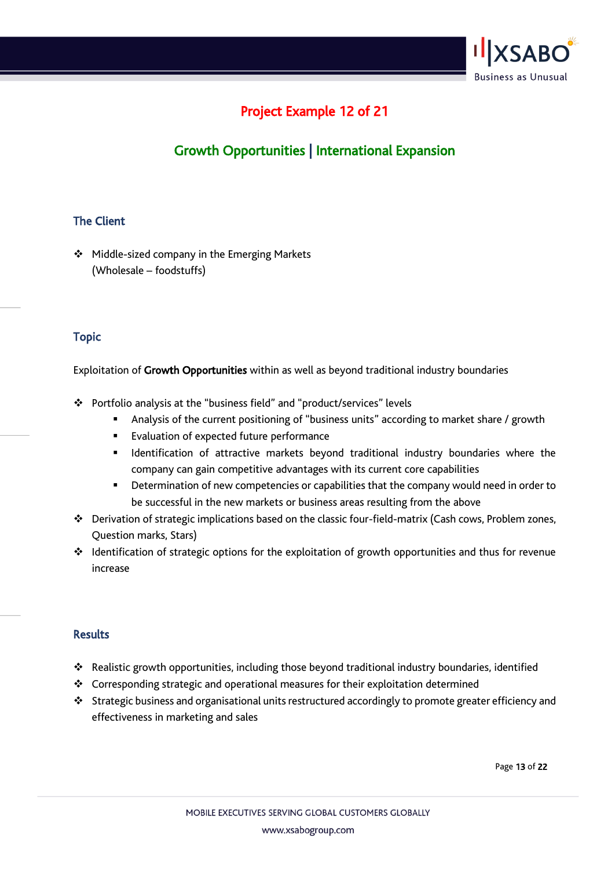

# Project Example 12 of 21

# Growth Opportunities | International Expansion

### The Client

❖ Middle-sized company in the Emerging Markets (Wholesale – foodstuffs)

### Topic

Exploitation of Growth Opportunities within as well as beyond traditional industry boundaries

- ❖ Portfolio analysis at the "business field" and "product/services" levels
	- **E** Analysis of the current positioning of "business units" according to market share / growth
	- Evaluation of expected future performance
	- **■** Identification of attractive markets beyond traditional industry boundaries where the company can gain competitive advantages with its current core capabilities
	- **E** Determination of new competencies or capabilities that the company would need in order to be successful in the new markets or business areas resulting from the above
- ❖ Derivation of strategic implications based on the classic four-field-matrix (Cash cows, Problem zones, Question marks, Stars)
- ❖ Identification of strategic options for the exploitation of growth opportunities and thus for revenue increase

#### **Results**

- ❖ Realistic growth opportunities, including those beyond traditional industry boundaries, identified
- ❖ Corresponding strategic and operational measures for their exploitation determined
- ❖ Strategic business and organisational units restructured accordingly to promote greater efficiency and effectiveness in marketing and sales

Page 13 of 22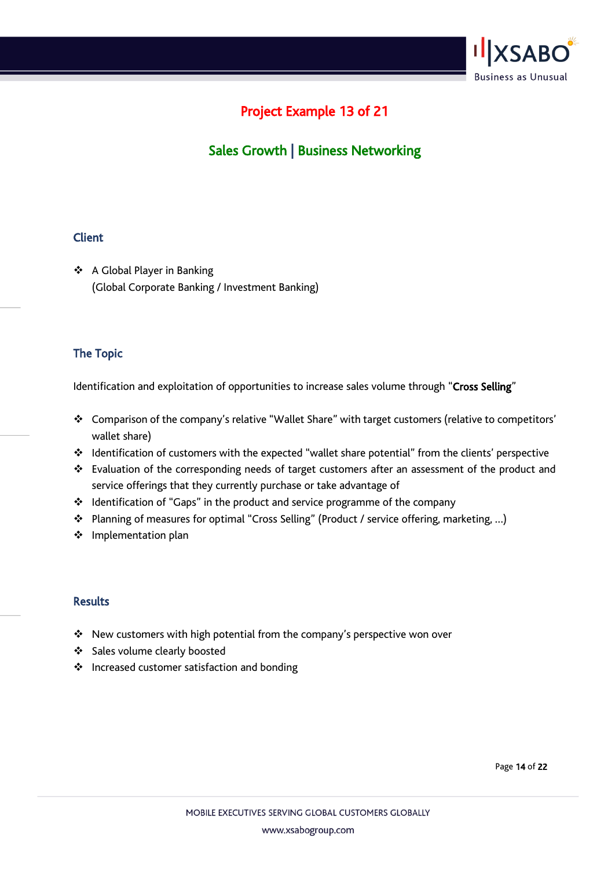

# Project Example 13 of 21

# Sales Growth | Business Networking

### **Client**

❖ A Global Player in Banking (Global Corporate Banking / Investment Banking)

## The Topic

Identification and exploitation of opportunities to increase sales volume through "Cross Selling"

- ❖ Comparison of the company's relative "Wallet Share" with target customers (relative to competitors' wallet share)
- ❖ Identification of customers with the expected "wallet share potential" from the clients' perspective
- ❖ Evaluation of the corresponding needs of target customers after an assessment of the product and service offerings that they currently purchase or take advantage of
- ❖ Identification of "Gaps" in the product and service programme of the company
- ❖ Planning of measures for optimal "Cross Selling" (Product / service offering, marketing, …)
- ❖ Implementation plan

#### Results

- ❖ New customers with high potential from the company's perspective won over
- ❖ Sales volume clearly boosted
- ❖ Increased customer satisfaction and bonding

Page 14 of 22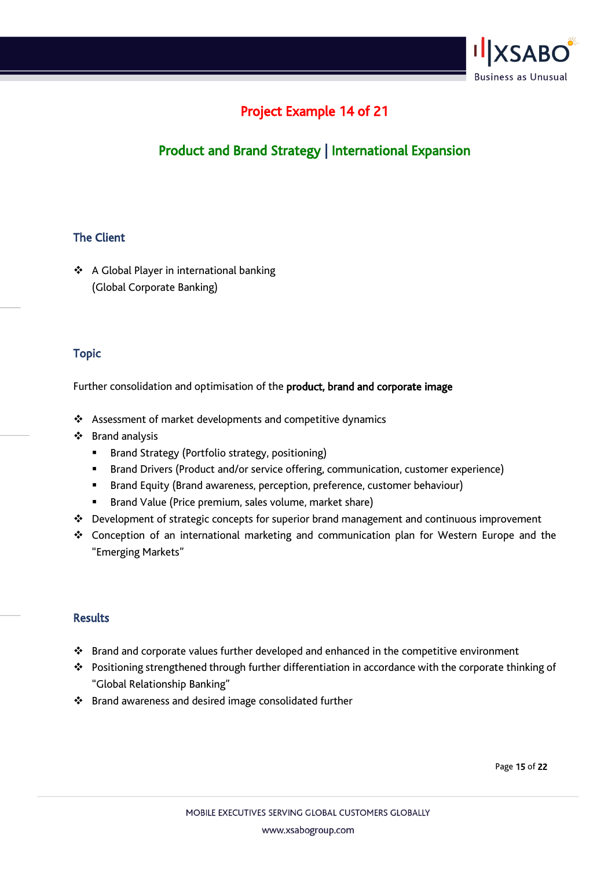

# Project Example 14 of 21

# Product and Brand Strategy | International Expansion

### The Client

❖ A Global Player in international banking (Global Corporate Banking)

### Topic

Further consolidation and optimisation of the product, brand and corporate image

- ❖ Assessment of market developments and competitive dynamics
- ❖ Brand analysis
	- **E** Brand Strategy (Portfolio strategy, positioning)
	- Brand Drivers (Product and/or service offering, communication, customer experience)
	- Brand Equity (Brand awareness, perception, preference, customer behaviour)
	- Brand Value (Price premium, sales volume, market share)
- ❖ Development of strategic concepts for superior brand management and continuous improvement
- ❖ Conception of an international marketing and communication plan for Western Europe and the "Emerging Markets"

### **Results**

- ❖ Brand and corporate values further developed and enhanced in the competitive environment
- ❖ Positioning strengthened through further differentiation in accordance with the corporate thinking of "Global Relationship Banking"
- ❖ Brand awareness and desired image consolidated further

Page 15 of 22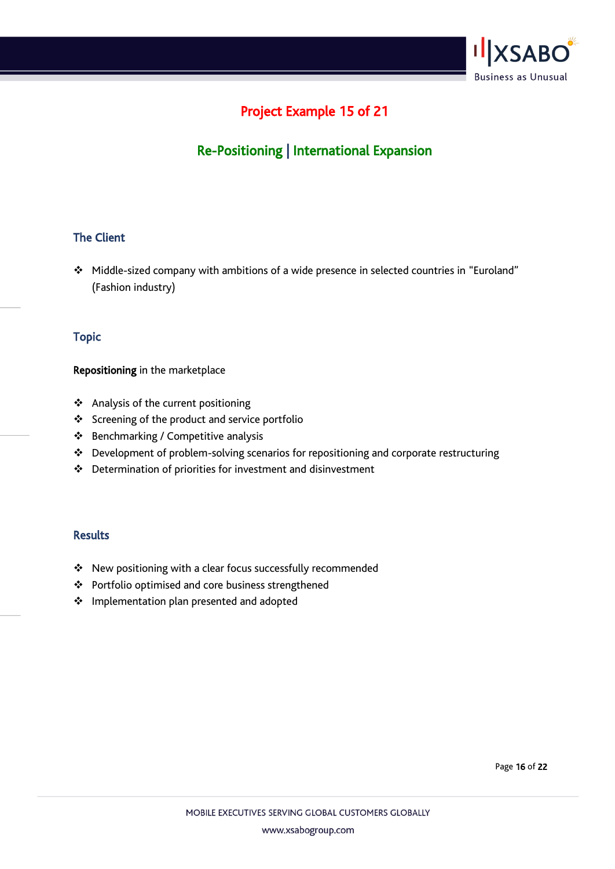

# Project Example 15 of 21

# Re-Positioning | International Expansion

### The Client

❖ Middle-sized company with ambitions of a wide presence in selected countries in "Euroland" (Fashion industry)

#### Topic

#### Repositioning in the marketplace

- ❖ Analysis of the current positioning
- ❖ Screening of the product and service portfolio
- ❖ Benchmarking / Competitive analysis
- ❖ Development of problem-solving scenarios for repositioning and corporate restructuring
- ❖ Determination of priorities for investment and disinvestment

- ❖ New positioning with a clear focus successfully recommended
- ❖ Portfolio optimised and core business strengthened
- ❖ Implementation plan presented and adopted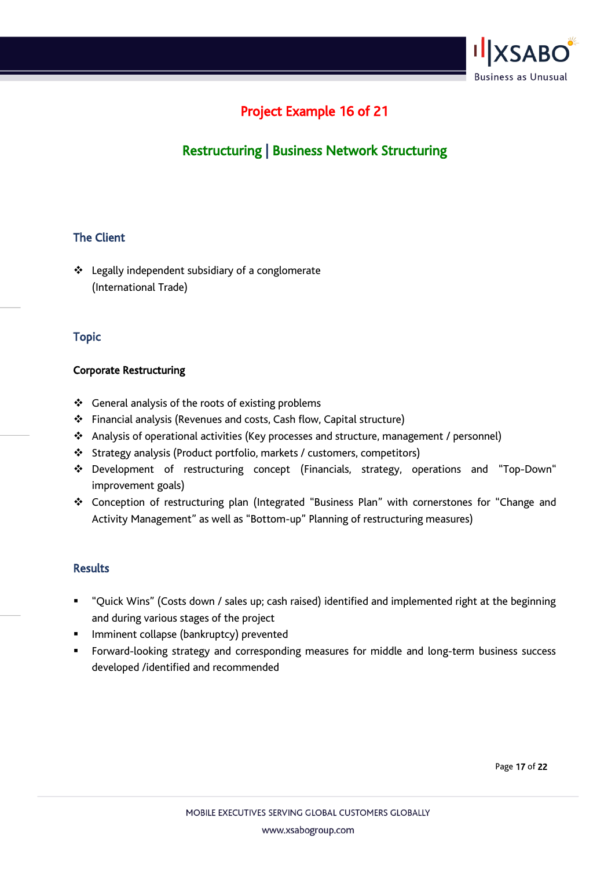

# Project Example 16 of 21

# Restructuring | Business Network Structuring

### The Client

❖ Legally independent subsidiary of a conglomerate (International Trade)

### Topic

#### Corporate Restructuring

- ❖ General analysis of the roots of existing problems
- ❖ Financial analysis (Revenues and costs, Cash flow, Capital structure)
- ❖ Analysis of operational activities (Key processes and structure, management / personnel)
- ❖ Strategy analysis (Product portfolio, markets / customers, competitors)
- ❖ Development of restructuring concept (Financials, strategy, operations and "Top-Down" improvement goals)
- ❖ Conception of restructuring plan (Integrated "Business Plan" with cornerstones for "Change and Activity Management" as well as "Bottom-up" Planning of restructuring measures)

#### Results

- "Quick Wins" (Costs down / sales up; cash raised) identified and implemented right at the beginning and during various stages of the project
- **■** Imminent collapse (bankruptcy) prevented
- Forward-looking strategy and corresponding measures for middle and long-term business success developed /identified and recommended

Page 17 of 22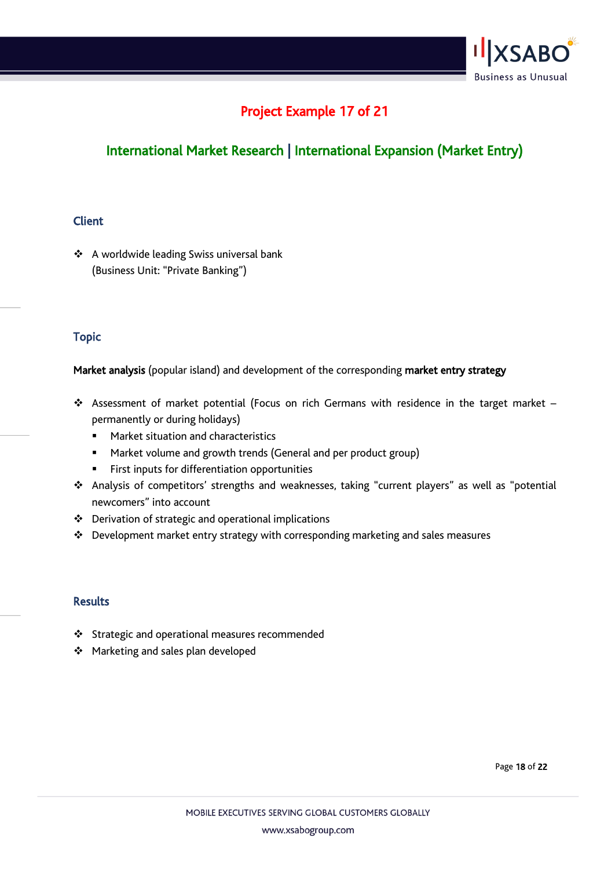

# Project Example 17 of 21

# International Market Research | International Expansion (Market Entry)

### Client

❖ A worldwide leading Swiss universal bank (Business Unit: "Private Banking")

### Topic

Market analysis (popular island) and development of the corresponding market entry strategy

- ❖ Assessment of market potential (Focus on rich Germans with residence in the target market permanently or during holidays)
	- Market situation and characteristics
	- Market volume and growth trends (General and per product group)
	- **EXECT:** First inputs for differentiation opportunities
- ❖ Analysis of competitors' strengths and weaknesses, taking "current players" as well as "potential newcomers" into account
- ❖ Derivation of strategic and operational implications
- ❖ Development market entry strategy with corresponding marketing and sales measures

- ❖ Strategic and operational measures recommended
- ❖ Marketing and sales plan developed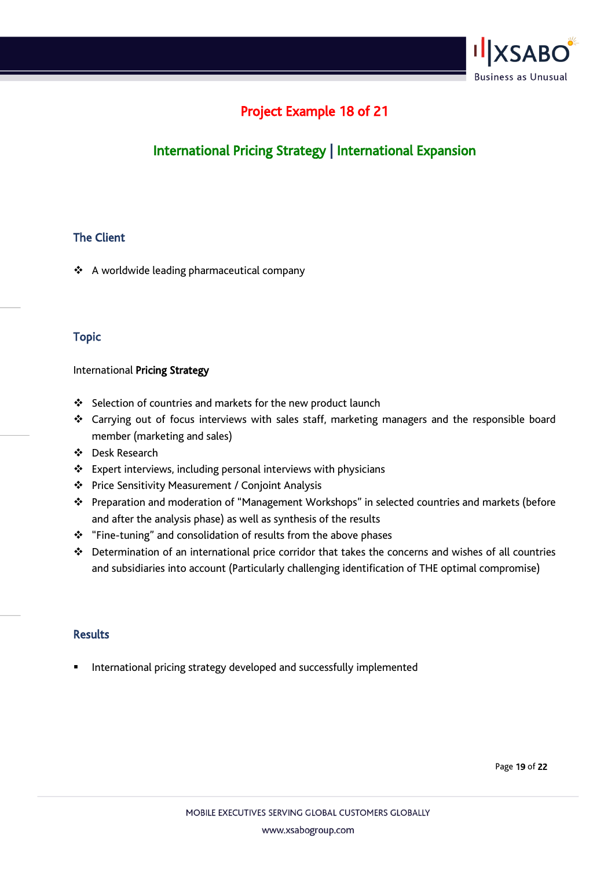

# Project Example 18 of 21

# International Pricing Strategy | International Expansion

### The Client

❖ A worldwide leading pharmaceutical company

### Topic

#### International Pricing Strategy

- ❖ Selection of countries and markets for the new product launch
- ❖ Carrying out of focus interviews with sales staff, marketing managers and the responsible board member (marketing and sales)
- ❖ Desk Research
- ❖ Expert interviews, including personal interviews with physicians
- ❖ Price Sensitivity Measurement / Conjoint Analysis
- ❖ Preparation and moderation of "Management Workshops" in selected countries and markets (before and after the analysis phase) as well as synthesis of the results
- ❖ "Fine-tuning" and consolidation of results from the above phases
- ❖ Determination of an international price corridor that takes the concerns and wishes of all countries and subsidiaries into account (Particularly challenging identification of THE optimal compromise)

#### **Results**

International pricing strategy developed and successfully implemented

Page 19 of 22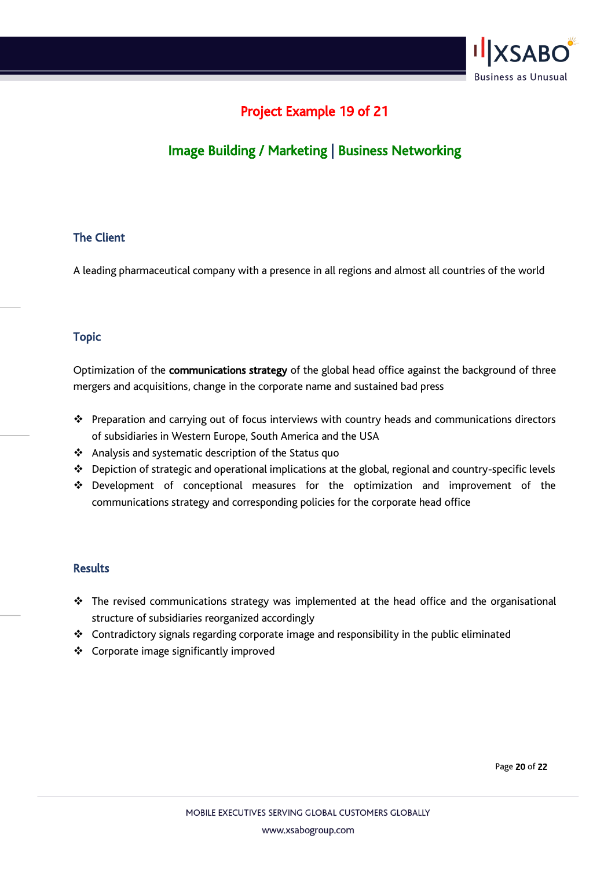

# Project Example 19 of 21

# Image Building / Marketing | Business Networking

### The Client

A leading pharmaceutical company with a presence in all regions and almost all countries of the world

#### Topic

Optimization of the communications strategy of the global head office against the background of three mergers and acquisitions, change in the corporate name and sustained bad press

- ❖ Preparation and carrying out of focus interviews with country heads and communications directors of subsidiaries in Western Europe, South America and the USA
- ❖ Analysis and systematic description of the Status quo
- ❖ Depiction of strategic and operational implications at the global, regional and country-specific levels
- ❖ Development of conceptional measures for the optimization and improvement of the communications strategy and corresponding policies for the corporate head office

#### Results

- ❖ The revised communications strategy was implemented at the head office and the organisational structure of subsidiaries reorganized accordingly
- ❖ Contradictory signals regarding corporate image and responsibility in the public eliminated
- ❖ Corporate image significantly improved

Page 20 of 22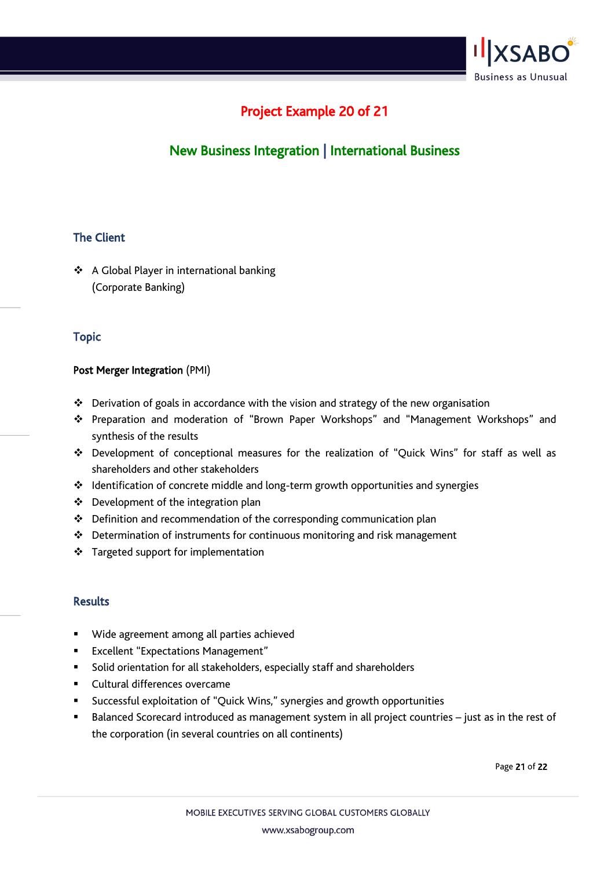

# Project Example 20 of 21

# New Business Integration | International Business

### The Client

❖ A Global Player in international banking (Corporate Banking)

### Topic

### Post Merger Integration (PMI)

- $\cdot \cdot$  Derivation of goals in accordance with the vision and strategy of the new organisation
- ❖ Preparation and moderation of "Brown Paper Workshops" and "Management Workshops" and synthesis of the results
- ❖ Development of conceptional measures for the realization of "Quick Wins" for staff as well as shareholders and other stakeholders
- ❖ Identification of concrete middle and long-term growth opportunities and synergies
- ❖ Development of the integration plan
- ❖ Definition and recommendation of the corresponding communication plan
- ❖ Determination of instruments for continuous monitoring and risk management
- ❖ Targeted support for implementation

#### **Results**

- Wide agreement among all parties achieved
- Excellent "Expectations Management"
- Solid orientation for all stakeholders, especially staff and shareholders
- Cultural differences overcame
- Successful exploitation of "Quick Wins," synergies and growth opportunities
- Balanced Scorecard introduced as management system in all project countries just as in the rest of the corporation (in several countries on all continents)

Page 21 of 22